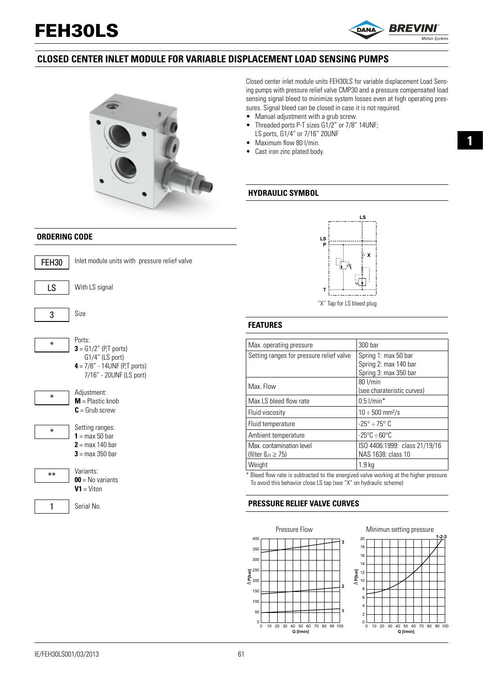# FEH30LS



## **CLOSED CENTER INLET MODULE FOR VARIABLE DISPLACEMENT LOAD SENSING PUMPS**



Closed center inlet module units FEH30LS for variable displacement Load Sensing pumps with pressure relief valve CMP30 and a pressure compensated load sensing signal bleed to minimize system losses even at high operating pressures. Signal bleed can be closed in case it is not required.

- Manual adjustment with a grub screw.
- Threaded ports P-T sizes G1/2" or 7/8" 14UNF; LS ports, G1/4" or 7/16" 20UNF
- Maximum flow 80 l/min.
- Cast iron zinc plated body.

#### **HYDRAULIC SYMBOL**

#### **ORDERING CODE**



Ports: **3** = G1/2" (P,T ports) G1/4" (LS port) **4** = 7/8" - 14UNF (P,T ports) 7/16" - 20UNF (LS port)



Setting ranges: **1** = max 50 bar **2** = max 140 bar  $3 = max 350$  har



\*\*

\*

1

Serial No.



**FEATURES**

| Max. operating pressure                  | 300 bar                          |
|------------------------------------------|----------------------------------|
| Setting ranges for pressure relief valve | Spring 1: max 50 bar             |
|                                          | Spring 2: max 140 bar            |
|                                          | Spring 3: max 350 bar            |
| Max. Flow                                | 80 l/min                         |
|                                          | (see charateristic curves)       |
| Max LS bleed flow rate                   | $0.5$ l/min*                     |
| Fluid viscosity                          | $10 \div 500$ mm <sup>2</sup> /s |
| Fluid temperature                        | $-25^{\circ} \div 75^{\circ}$ C  |
| Ambient temperature                      | $-25^{\circ}$ C $\div$ 60°C      |
| Max. contamination level                 | ISO 4406:1999: class 21/19/16    |
| (filter $\mathcal{B}_{25} \geq 75$ )     | NAS 1638: class 10               |
| Weight                                   | 1.9 <sub>kq</sub>                |
|                                          | $\cdot$ $\cdot$                  |

\* Bleed flow rate is subtracted to the energized valve working at the higher pressure. To avoid this behavior close LS tap (see "X" on hydraulic scheme)

#### **PRESSURE RELIEF VALVE CURVES**